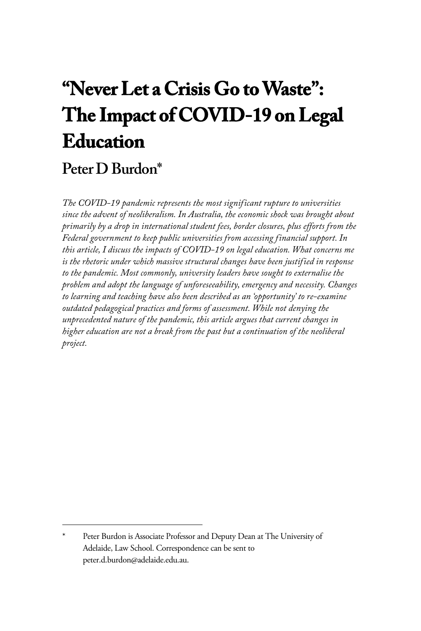# **"Never Let a Crisis Go to Waste": The Impact of COVID-19 on Legal Education**

## **Peter D Burdon\***

*The COVID-19 pandemic represents the most significant rupture to universities since the advent of neoliberalism. In Australia, the economic shock was brought about primarily by a drop in international student fees, border closures, plus efforts from the Federal government to keep public universities from accessing financial support. In this article, I discuss the impacts of COVID-19 on legal education. What concerns me is the rhetoric under which massive structural changes have been justified in response to the pandemic. Most commonly, university leaders have sought to externalise the problem and adopt the language of unforeseeability, emergency and necessity. Changes to learning and teaching have also been described as an 'opportunity' to re-examine outdated pedagogical practices and forms of assessment. While not denying the unprecedented nature of the pandemic, this article argues that current changes in higher education are not a break from the past but a continuation of the neoliberal project.*

Peter Burdon is Associate Professor and Deputy Dean at The University of Adelaide, Law School. Correspondence can be sent to peter.d.burdon@adelaide.edu.au.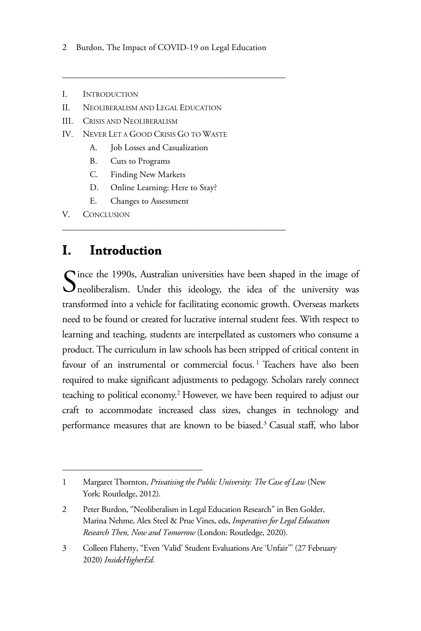2 Burdon, The Impact of COVID-19 on Legal Education

\_\_\_\_\_\_\_\_\_\_\_\_\_\_\_\_\_\_\_\_\_\_\_\_\_\_\_\_\_\_\_\_\_\_\_\_\_\_\_\_\_\_\_\_\_\_\_\_\_\_\_

- I. INTRODUCTION
- II. NEOLIBERALISM AND LEGAL EDUCATION
- III. CRISIS AND NEOLIBERALISM
- IV. NEVER LET A GOOD CRISIS GO TO WASTE
	- A. Job Losses and Casualization
	- B. Cuts to Programs
	- C. Finding New Markets
	- D. Online Learning: Here to Stay?

\_\_\_\_\_\_\_\_\_\_\_\_\_\_\_\_\_\_\_\_\_\_\_\_\_\_\_\_\_\_\_\_\_\_\_\_\_\_\_\_\_\_\_\_\_\_\_\_\_\_\_

E. Changes to Assessment

V. CONCLUSION

#### **I. Introduction**

Since the 1990s, Australian universities have been shaped in the image of neoliberalism. Under this ideology, the idea of the university was neoliberalism. Under this ideology, the idea of the university was transformed into a vehicle for facilitating economic growth. Overseas markets need to be found or created for lucrative internal student fees. With respect to learning and teaching, students are interpellated as customers who consume a product. The curriculum in law schools has been stripped of critical content in favour of an instrumental or commercial focus.<sup>1</sup> Teachers have also been required to make significant adjustments to pedagogy. Scholars rarely connect teaching to political economy.<sup>2</sup> However, we have been required to adjust our craft to accommodate increased class sizes, changes in technology and performance measures that are known to be biased.<sup>3</sup> Casual staff, who labor

<sup>1</sup> Margaret Thornton, *Privatising the Public University: The Case of Law* (New York: Routledge, 2012).

<sup>2</sup> Peter Burdon, "Neoliberalism in Legal Education Research" in Ben Golder, Marina Nehme, Alex Steel & Prue Vines, eds, *Imperatives for Legal Education Research Then, Now and Tomorrow* (London: Routledge, 2020).

<sup>3</sup> Colleen Flaherty, "Even 'Valid' Student Evaluations Are 'Unfair'" (27 February 2020) *InsideHigherEd*.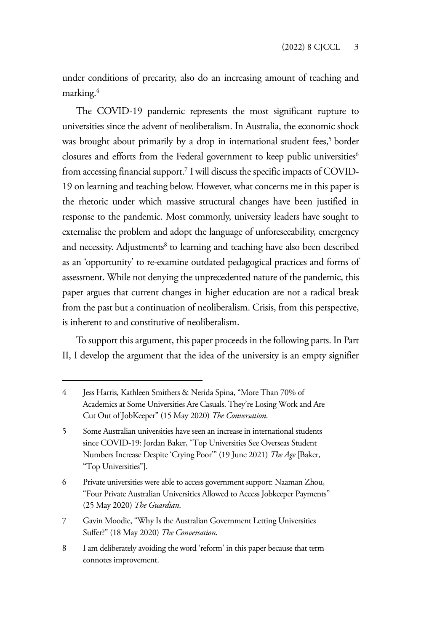under conditions of precarity, also do an increasing amount of teaching and marking.4

The COVID-19 pandemic represents the most significant rupture to universities since the advent of neoliberalism. In Australia, the economic shock was brought about primarily by a drop in international student fees,<sup>5</sup> border closures and efforts from the Federal government to keep public universities<sup>6</sup> from accessing financial support.7 I will discuss the specific impacts of COVID-19 on learning and teaching below. However, what concerns me in this paper is the rhetoric under which massive structural changes have been justified in response to the pandemic. Most commonly, university leaders have sought to externalise the problem and adopt the language of unforeseeability, emergency and necessity. Adjustments<sup>8</sup> to learning and teaching have also been described as an 'opportunity' to re-examine outdated pedagogical practices and forms of assessment. While not denying the unprecedented nature of the pandemic, this paper argues that current changes in higher education are not a radical break from the past but a continuation of neoliberalism. Crisis, from this perspective, is inherent to and constitutive of neoliberalism.

To support this argument, this paper proceeds in the following parts. In Part II, I develop the argument that the idea of the university is an empty signifier

8 I am deliberately avoiding the word 'reform' in this paper because that term connotes improvement.

<sup>4</sup> Jess Harris, Kathleen Smithers & Nerida Spina, "More Than 70% of Academics at Some Universities Are Casuals. They're Losing Work and Are Cut Out of JobKeeper" (15 May 2020) *The Conversation*.

<sup>5</sup> Some Australian universities have seen an increase in international students since COVID-19: Jordan Baker, "Top Universities See Overseas Student Numbers Increase Despite 'Crying Poor'" (19 June 2021) *The Age* [Baker, "Top Universities"].

<sup>6</sup> Private universities were able to access government support: Naaman Zhou, "Four Private Australian Universities Allowed to Access Jobkeeper Payments" (25 May 2020) *The Guardian*.

<sup>7</sup> Gavin Moodie, "Why Is the Australian Government Letting Universities Suffer?" (18 May 2020) *The Conversation*.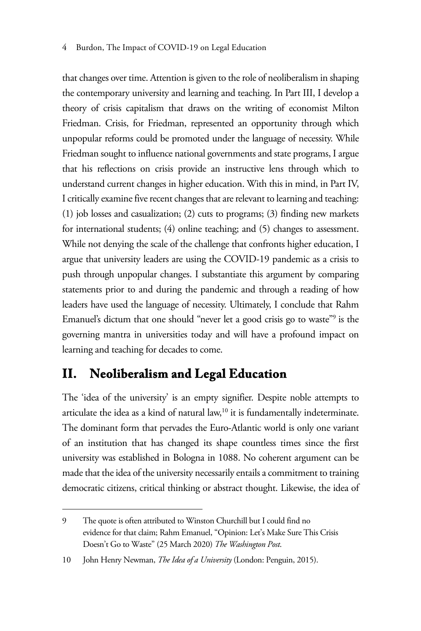#### 4 Burdon, The Impact of COVID-19 on Legal Education

that changes over time. Attention is given to the role of neoliberalism in shaping the contemporary university and learning and teaching. In Part III, I develop a theory of crisis capitalism that draws on the writing of economist Milton Friedman. Crisis, for Friedman, represented an opportunity through which unpopular reforms could be promoted under the language of necessity. While Friedman sought to influence national governments and state programs, I argue that his reflections on crisis provide an instructive lens through which to understand current changes in higher education. With this in mind, in Part IV, I critically examine five recent changes that are relevant to learning and teaching: (1) job losses and casualization; (2) cuts to programs; (3) finding new markets for international students; (4) online teaching; and (5) changes to assessment. While not denying the scale of the challenge that confronts higher education, I argue that university leaders are using the COVID-19 pandemic as a crisis to push through unpopular changes. I substantiate this argument by comparing statements prior to and during the pandemic and through a reading of how leaders have used the language of necessity. Ultimately, I conclude that Rahm Emanuel's dictum that one should "never let a good crisis go to waste"9 is the governing mantra in universities today and will have a profound impact on learning and teaching for decades to come.

## **II. Neoliberalism and Legal Education**

The 'idea of the university' is an empty signifier. Despite noble attempts to articulate the idea as a kind of natural law, $10$  it is fundamentally indeterminate. The dominant form that pervades the Euro-Atlantic world is only one variant of an institution that has changed its shape countless times since the first university was established in Bologna in 1088. No coherent argument can be made that the idea of the university necessarily entails a commitment to training democratic citizens, critical thinking or abstract thought. Likewise, the idea of

<sup>9</sup> The quote is often attributed to Winston Churchill but I could find no evidence for that claim; Rahm Emanuel, "Opinion: Let's Make Sure This Crisis Doesn't Go to Waste" (25 March 2020) *The Washington Post*.

<sup>10</sup> John Henry Newman, *The Idea of a University* (London: Penguin, 2015).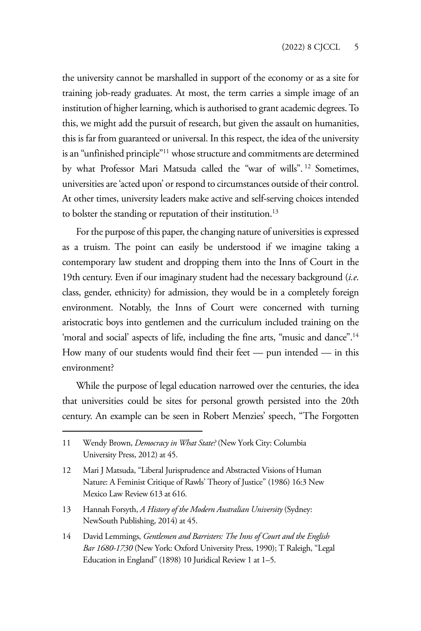the university cannot be marshalled in support of the economy or as a site for training job-ready graduates. At most, the term carries a simple image of an institution of higher learning, which is authorised to grant academic degrees. To this, we might add the pursuit of research, but given the assault on humanities, this is far from guaranteed or universal. In this respect, the idea of the university is an "unfinished principle"11 whose structure and commitments are determined by what Professor Mari Matsuda called the "war of wills". 12 Sometimes, universities are 'acted upon' or respond to circumstances outside of their control. At other times, university leaders make active and self-serving choices intended to bolster the standing or reputation of their institution.<sup>13</sup>

For the purpose of this paper, the changing nature of universities is expressed as a truism. The point can easily be understood if we imagine taking a contemporary law student and dropping them into the Inns of Court in the 19th century. Even if our imaginary student had the necessary background (*i.e*. class, gender, ethnicity) for admission, they would be in a completely foreign environment. Notably, the Inns of Court were concerned with turning aristocratic boys into gentlemen and the curriculum included training on the 'moral and social' aspects of life, including the fine arts, "music and dance".<sup>14</sup> How many of our students would find their feet — pun intended — in this environment?

While the purpose of legal education narrowed over the centuries, the idea that universities could be sites for personal growth persisted into the 20th century. An example can be seen in Robert Menzies' speech, "The Forgotten

<sup>11</sup> Wendy Brown, *Democracy in What State?* (New York City: Columbia University Press, 2012) at 45.

<sup>12</sup> Mari J Matsuda, "Liberal Jurisprudence and Abstracted Visions of Human Nature: A Feminist Critique of Rawls' Theory of Justice" (1986) 16:3 New Mexico Law Review 613 at 616.

<sup>13</sup> Hannah Forsyth, *A History of the Modern Australian University* (Sydney: NewSouth Publishing, 2014) at 45.

<sup>14</sup> David Lemmings, *Gentlemen and Barristers: The Inns of Court and the English Bar 1680-1730* (New York: Oxford University Press, 1990); T Raleigh, "Legal Education in England" (1898) 10 Juridical Review 1 at 1–5.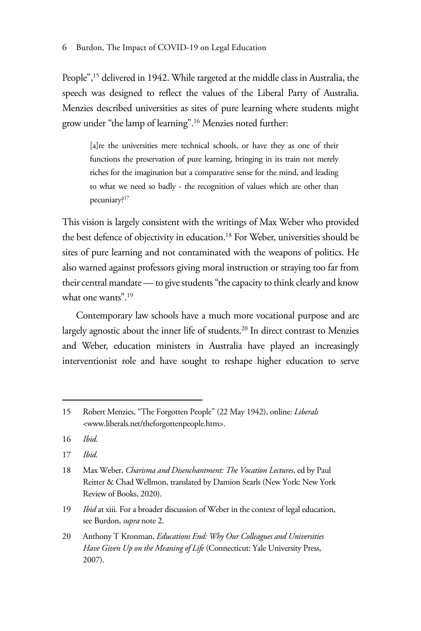People",15 delivered in 1942. While targeted at the middle class in Australia, the speech was designed to reflect the values of the Liberal Party of Australia. Menzies described universities as sites of pure learning where students might grow under "the lamp of learning".16 Menzies noted further:

[a]re the universities mere technical schools, or have they as one of their functions the preservation of pure learning, bringing in its train not merely riches for the imagination but a comparative sense for the mind, and leading to what we need so badly - the recognition of values which are other than pecuniary?17

This vision is largely consistent with the writings of Max Weber who provided the best defence of objectivity in education.<sup>18</sup> For Weber, universities should be sites of pure learning and not contaminated with the weapons of politics. He also warned against professors giving moral instruction or straying too far from their central mandate — to give students "the capacity to think clearly and know what one wants".19

Contemporary law schools have a much more vocational purpose and are largely agnostic about the inner life of students.<sup>20</sup> In direct contrast to Menzies and Weber, education ministers in Australia have played an increasingly interventionist role and have sought to reshape higher education to serve

<sup>15</sup> Robert Menzies, "The Forgotten People" (22 May 1942), online: *Liberals*  <www.liberals.net/theforgottenpeople.htm>.

<sup>16</sup> *Ibid*.

<sup>17</sup> *Ibid*.

<sup>18</sup> Max Weber, *Charisma and Disenchantment: The Vocation Lectures*, ed by Paul Reitter & Chad Wellmon, translated by Damion Searls (New York: New York Review of Books, 2020).

<sup>19</sup> *Ibid* at xiii. For a broader discussion of Weber in the context of legal education, see Burdon, *supra* note 2.

<sup>20</sup> Anthony T Kronman, *Educations End: Why Our Colleagues and Universities Have Given Up on the Meaning of Life* (Connecticut: Yale University Press, 2007).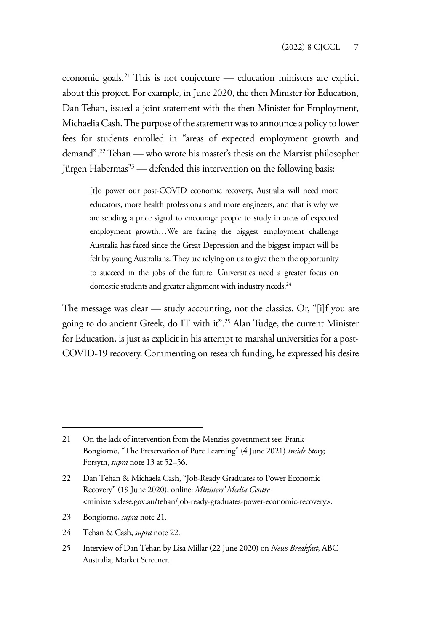economic goals.21 This is not conjecture — education ministers are explicit about this project. For example, in June 2020, the then Minister for Education, Dan Tehan, issued a joint statement with the then Minister for Employment, Michaelia Cash. The purpose of the statement was to announce a policy to lower fees for students enrolled in "areas of expected employment growth and demand".22 Tehan — who wrote his master's thesis on the Marxist philosopher Jürgen Habermas<sup>23</sup> — defended this intervention on the following basis:

[t]o power our post-COVID economic recovery, Australia will need more educators, more health professionals and more engineers, and that is why we are sending a price signal to encourage people to study in areas of expected employment growth…We are facing the biggest employment challenge Australia has faced since the Great Depression and the biggest impact will be felt by young Australians. They are relying on us to give them the opportunity to succeed in the jobs of the future. Universities need a greater focus on domestic students and greater alignment with industry needs.<sup>24</sup>

The message was clear — study accounting, not the classics. Or, "[i]f you are going to do ancient Greek, do IT with it".25 Alan Tudge, the current Minister for Education, is just as explicit in his attempt to marshal universities for a post-COVID-19 recovery. Commenting on research funding, he expressed his desire

- 23 Bongiorno, *supra* note 21.
- 24 Tehan & Cash, *supra* note 22.
- 25 Interview of Dan Tehan by Lisa Millar (22 June 2020) on *News Breakfast*, ABC Australia, Market Screener.

<sup>21</sup> On the lack of intervention from the Menzies government see: Frank Bongiorno, "The Preservation of Pure Learning" (4 June 2021) *Inside Story*; Forsyth, *supra* note 13 at 52–56.

<sup>22</sup> Dan Tehan & Michaela Cash, "Job-Ready Graduates to Power Economic Recovery" (19 June 2020), online: *Ministers' Media Centre* <ministers.dese.gov.au/tehan/job-ready-graduates-power-economic-recovery>.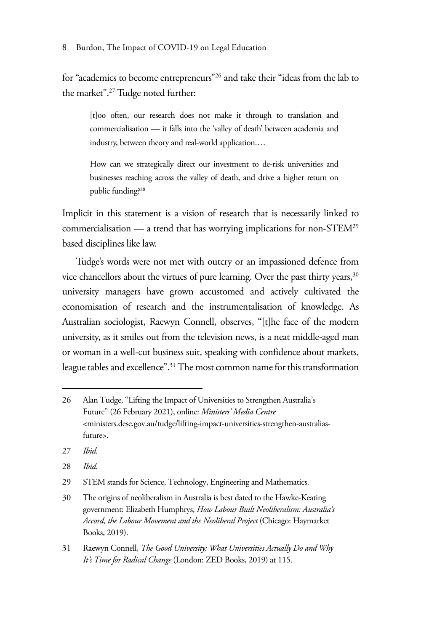for "academics to become entrepreneurs"26 and take their "ideas from the lab to the market".27 Tudge noted further:

[t]oo often, our research does not make it through to translation and commercialisation — it falls into the 'valley of death' between academia and industry, between theory and real-world application.…

How can we strategically direct our investment to de-risk universities and businesses reaching across the valley of death, and drive a higher return on public funding?28

Implicit in this statement is a vision of research that is necessarily linked to commercialisation — a trend that has worrying implications for non-STEM29 based disciplines like law.

Tudge's words were not met with outcry or an impassioned defence from vice chancellors about the virtues of pure learning. Over the past thirty years,<sup>30</sup> university managers have grown accustomed and actively cultivated the economisation of research and the instrumentalisation of knowledge. As Australian sociologist, Raewyn Connell, observes, "[t]he face of the modern university, as it smiles out from the television news, is a neat middle-aged man or woman in a well-cut business suit, speaking with confidence about markets, league tables and excellence".31 The most common name for this transformation

- 27 *Ibid.*
- 28 *Ibid.*

29 STEM stands for Science, Technology, Engineering and Mathematics.

31 Raewyn Connell, *The Good University: What Universities Actually Do and Why It's Time for Radical Change* (London: ZED Books, 2019) at 115.

<sup>26</sup> Alan Tudge, "Lifting the Impact of Universities to Strengthen Australia's Future" (26 February 2021), online: *Ministers' Media Centre*  <ministers.dese.gov.au/tudge/lifting-impact-universities-strengthen-australiasfuture>.

<sup>30</sup> The origins of neoliberalism in Australia is best dated to the Hawke-Keating government: Elizabeth Humphrys, *How Labour Built Neoliberalism: Australia's Accord, the Labour Movement and the Neoliberal Project* (Chicago: Haymarket Books, 2019).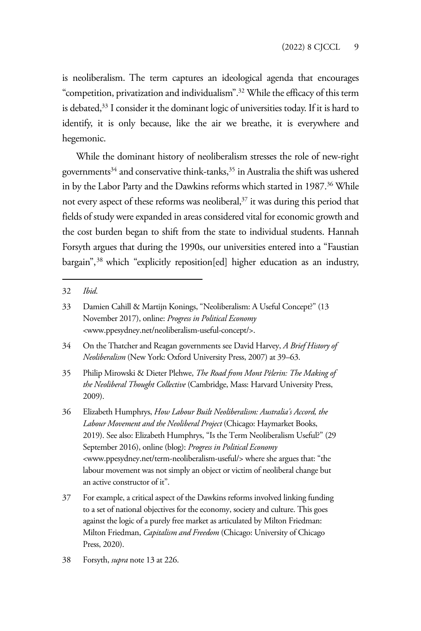is neoliberalism. The term captures an ideological agenda that encourages "competition, privatization and individualism".32 While the efficacy of this term is debated,<sup>33</sup> I consider it the dominant logic of universities today. If it is hard to identify, it is only because, like the air we breathe, it is everywhere and hegemonic.

While the dominant history of neoliberalism stresses the role of new-right governments<sup>34</sup> and conservative think-tanks,<sup>35</sup> in Australia the shift was ushered in by the Labor Party and the Dawkins reforms which started in 1987.<sup>36</sup> While not every aspect of these reforms was neoliberal,<sup>37</sup> it was during this period that fields of study were expanded in areas considered vital for economic growth and the cost burden began to shift from the state to individual students. Hannah Forsyth argues that during the 1990s, our universities entered into a "Faustian bargain",<sup>38</sup> which "explicitly reposition[ed] higher education as an industry,

35 Philip Mirowski & Dieter Plehwe, *The Road from Mont Pèlerin: The Making of the Neoliberal Thought Collective* (Cambridge, Mass: Harvard University Press, 2009).

36 Elizabeth Humphrys, *How Labour Built Neoliberalism: Australia's Accord, the Labour Movement and the Neoliberal Project* (Chicago: Haymarket Books, 2019). See also: Elizabeth Humphrys, "Is the Term Neoliberalism Useful?" (29 September 2016), online (blog): *Progress in Political Economy*  <www.ppesydney.net/term-neoliberalism-useful/> where she argues that: "the labour movement was not simply an object or victim of neoliberal change but an active constructor of it".

37 For example, a critical aspect of the Dawkins reforms involved linking funding to a set of national objectives for the economy, society and culture. This goes against the logic of a purely free market as articulated by Milton Friedman: Milton Friedman, *Capitalism and Freedom* (Chicago: University of Chicago Press, 2020).

38 Forsyth, *supra* note 13 at 226.

<sup>32</sup> *Ibid*.

<sup>33</sup> Damien Cahill & Martijn Konings, "Neoliberalism: A Useful Concept?" (13 November 2017), online: *Progress in Political Economy*  <www.ppesydney.net/neoliberalism-useful-concept/>.

<sup>34</sup> On the Thatcher and Reagan governments see David Harvey, *A Brief History of Neoliberalism* (New York: Oxford University Press, 2007) at 39–63.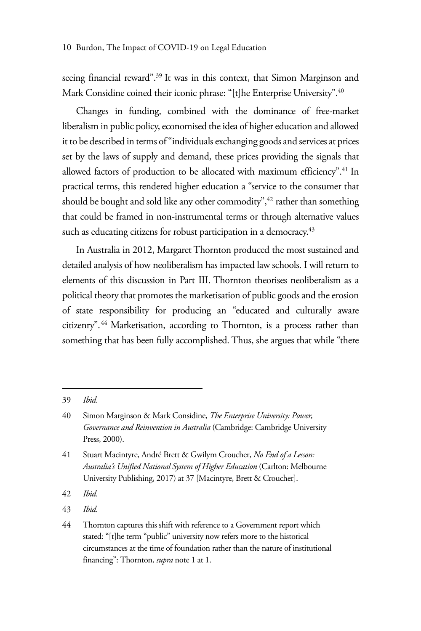seeing financial reward".<sup>39</sup> It was in this context, that Simon Marginson and Mark Considine coined their iconic phrase: "[t]he Enterprise University".<sup>40</sup>

Changes in funding, combined with the dominance of free-market liberalism in public policy, economised the idea of higher education and allowed it to be described in terms of "individuals exchanging goods and services at prices set by the laws of supply and demand, these prices providing the signals that allowed factors of production to be allocated with maximum efficiency".<sup>41</sup> In practical terms, this rendered higher education a "service to the consumer that should be bought and sold like any other commodity", $42$  rather than something that could be framed in non-instrumental terms or through alternative values such as educating citizens for robust participation in a democracy.<sup>43</sup>

In Australia in 2012, Margaret Thornton produced the most sustained and detailed analysis of how neoliberalism has impacted law schools. I will return to elements of this discussion in Part III. Thornton theorises neoliberalism as a political theory that promotes the marketisation of public goods and the erosion of state responsibility for producing an "educated and culturally aware citizenry".<sup>44</sup> Marketisation, according to Thornton, is a process rather than something that has been fully accomplished. Thus, she argues that while "there

42 *Ibid.*

<sup>39</sup> *Ibid*.

<sup>40</sup> Simon Marginson & Mark Considine, *The Enterprise University: Power, Governance and Reinvention in Australia* (Cambridge: Cambridge University Press, 2000).

<sup>41</sup> Stuart Macintyre, André Brett & Gwilym Croucher, *No End of a Lesson: Australia's Unified National System of Higher Education* (Carlton: Melbourne University Publishing, 2017) at 37 [Macintyre, Brett & Croucher].

<sup>43</sup> *Ibid*.

<sup>44</sup> Thornton captures this shift with reference to a Government report which stated: "[t]he term "public" university now refers more to the historical circumstances at the time of foundation rather than the nature of institutional financing": Thornton, *supra* note 1 at 1.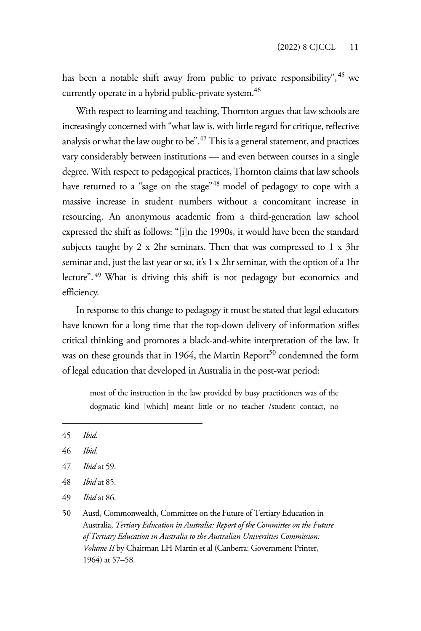has been a notable shift away from public to private responsibility", <sup>45</sup> we currently operate in a hybrid public-private system.<sup>46</sup>

With respect to learning and teaching, Thornton argues that law schools are increasingly concerned with "what law is, with little regard for critique, reflective analysis or what the law ought to be".<sup>47</sup> This is a general statement, and practices vary considerably between institutions — and even between courses in a single degree. With respect to pedagogical practices, Thornton claims that law schools have returned to a "sage on the stage"<sup>48</sup> model of pedagogy to cope with a massive increase in student numbers without a concomitant increase in resourcing. An anonymous academic from a third-generation law school expressed the shift as follows: "[i]n the 1990s, it would have been the standard subjects taught by 2 x 2hr seminars. Then that was compressed to 1 x 3hr seminar and, just the last year or so, it's 1 x 2hr seminar, with the option of a 1hr lecture". 49 What is driving this shift is not pedagogy but economics and efficiency.

In response to this change to pedagogy it must be stated that legal educators have known for a long time that the top-down delivery of information stifles critical thinking and promotes a black-and-white interpretation of the law. It was on these grounds that in 1964, the Martin Report<sup>50</sup> condemned the form of legal education that developed in Australia in the post-war period:

most of the instruction in the law provided by busy practitioners was of the dogmatic kind [which] meant little or no teacher /student contact, no

- 47 *Ibid* at 59.
- 48 *Ibid* at 85.
- 49 *Ibid* at 86.

<sup>45</sup> *Ibid*.

<sup>46</sup> *Ibid*.

<sup>50</sup> Austl, Commonwealth, Committee on the Future of Tertiary Education in Australia, *Tertiary Education in Australia: Report of the Committee on the Future of Tertiary Education in Australia to the Australian Universities Commission: Volume II* by Chairman LH Martin et al (Canberra: Government Printer, 1964) at 57–58.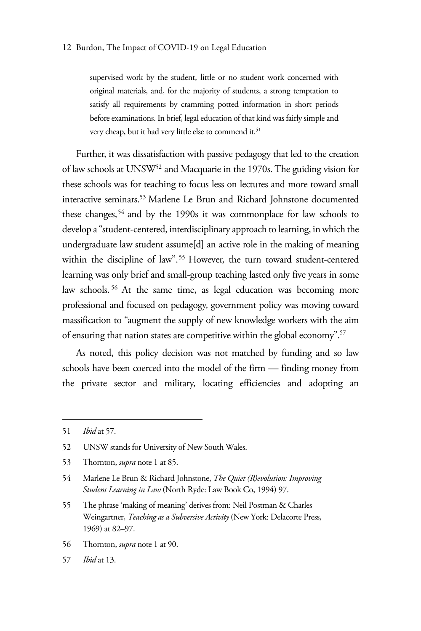supervised work by the student, little or no student work concerned with original materials, and, for the majority of students, a strong temptation to satisfy all requirements by cramming potted information in short periods before examinations. In brief, legal education of that kind was fairly simple and very cheap, but it had very little else to commend it.<sup>51</sup>

Further, it was dissatisfaction with passive pedagogy that led to the creation of law schools at UNSW52 and Macquarie in the 1970s. The guiding vision for these schools was for teaching to focus less on lectures and more toward small interactive seminars.53 Marlene Le Brun and Richard Johnstone documented these changes,<sup>54</sup> and by the 1990s it was commonplace for law schools to develop a "student-centered, interdisciplinary approach to learning, in which the undergraduate law student assume[d] an active role in the making of meaning within the discipline of law".<sup>55</sup> However, the turn toward student-centered learning was only brief and small-group teaching lasted only five years in some law schools. 56 At the same time, as legal education was becoming more professional and focused on pedagogy, government policy was moving toward massification to "augment the supply of new knowledge workers with the aim of ensuring that nation states are competitive within the global economy".<sup>57</sup>

As noted, this policy decision was not matched by funding and so law schools have been coerced into the model of the firm — finding money from the private sector and military, locating efficiencies and adopting an

56 Thornton, *supra* note 1 at 90.

<sup>51</sup> *Ibid* at 57.

<sup>52</sup> UNSW stands for University of New South Wales.

<sup>53</sup> Thornton, *supra* note 1 at 85.

<sup>54</sup> Marlene Le Brun & Richard Johnstone, *The Quiet (R)evolution: Improving Student Learning in Law* (North Ryde: Law Book Co, 1994) 97.

<sup>55</sup> The phrase 'making of meaning' derives from: Neil Postman & Charles Weingartner, *Teaching as a Subversive Activity* (New York: Delacorte Press, 1969) at 82–97.

<sup>57</sup> *Ibid* at 13.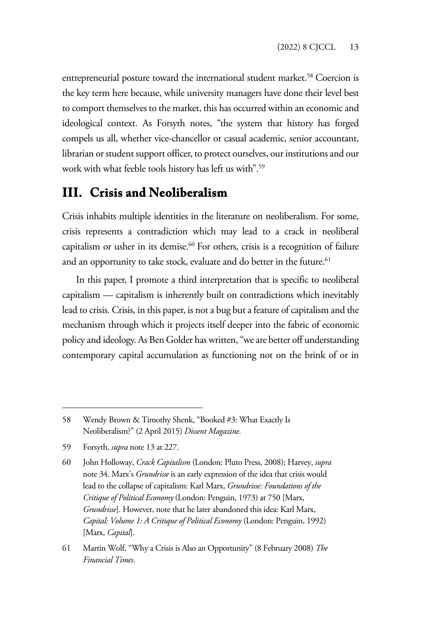entrepreneurial posture toward the international student market.<sup>58</sup> Coercion is the key term here because, while university managers have done their level best to comport themselves to the market, this has occurred within an economic and ideological context. As Forsyth notes, "the system that history has forged compels us all, whether vice-chancellor or casual academic, senior accountant, librarian or student support officer, to protect ourselves, our institutions and our work with what feeble tools history has left us with".59

## **III. Crisis and Neoliberalism**

Crisis inhabits multiple identities in the literature on neoliberalism. For some, crisis represents a contradiction which may lead to a crack in neoliberal capitalism or usher in its demise.<sup>60</sup> For others, crisis is a recognition of failure and an opportunity to take stock, evaluate and do better in the future.<sup>61</sup>

In this paper, I promote a third interpretation that is specific to neoliberal capitalism — capitalism is inherently built on contradictions which inevitably lead to crisis. Crisis, in this paper, is not a bug but a feature of capitalism and the mechanism through which it projects itself deeper into the fabric of economic policy and ideology. As Ben Golder has written, "we are better off understanding contemporary capital accumulation as functioning not on the brink of or in

<sup>58</sup> Wendy Brown & Timothy Shenk, "Booked #3: What Exactly Is Neoliberalism?" (2 April 2015) *Dissent Magazine*.

<sup>59</sup> Forsyth, *supra* note 13 at 227.

<sup>60</sup> John Holloway, *Crack Capitalism* (London: Pluto Press, 2008); Harvey, *supra*  note 34. Marx's *Grundrisse* is an early expression of the idea that crisis would lead to the collapse of capitalism: Karl Marx, *Grundrisse: Foundations of the Critique of Political Economy* (London: Penguin, 1973) at 750 [Marx, *Grundrisse*]. However, note that he later abandoned this idea: Karl Marx, *Capital: Volume 1: A Critique of Political Economy* (London: Penguin, 1992) [Marx, *Capital*].

<sup>61</sup> Martin Wolf, "Why a Crisis is Also an Opportunity" (8 February 2008) *The Financial Times*.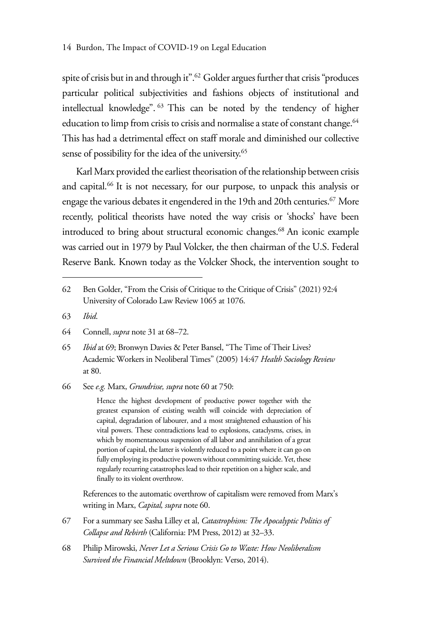spite of crisis but in and through it".<sup>62</sup> Golder argues further that crisis "produces particular political subjectivities and fashions objects of institutional and intellectual knowledge". 63 This can be noted by the tendency of higher education to limp from crisis to crisis and normalise a state of constant change.<sup>64</sup> This has had a detrimental effect on staff morale and diminished our collective sense of possibility for the idea of the university.<sup>65</sup>

Karl Marx provided the earliest theorisation of the relationship between crisis and capital.<sup>66</sup> It is not necessary, for our purpose, to unpack this analysis or engage the various debates it engendered in the 19th and 20th centuries.<sup>67</sup> More recently, political theorists have noted the way crisis or 'shocks' have been introduced to bring about structural economic changes.<sup>68</sup> An iconic example was carried out in 1979 by Paul Volcker, the then chairman of the U.S. Federal Reserve Bank. Known today as the Volcker Shock, the intervention sought to

- 63 *Ibid*.
- 64 Connell, *supra* note 31 at 68–72.
- 65 *Ibid* at 69; Bronwyn Davies & Peter Bansel, "The Time of Their Lives? Academic Workers in Neoliberal Times" (2005) 14:47 *Health Sociology Review* at 80.
- 66 See *e.g.* Marx, *Grundrisse, supra* note 60 at 750:

Hence the highest development of productive power together with the greatest expansion of existing wealth will coincide with depreciation of capital, degradation of labourer, and a most straightened exhaustion of his vital powers. These contradictions lead to explosions, cataclysms, crises, in which by momentaneous suspension of all labor and annihilation of a great portion of capital, the latter is violently reduced to a point where it can go on fully employing its productive powers without committing suicide. Yet, these regularly recurring catastrophes lead to their repetition on a higher scale, and finally to its violent overthrow.

References to the automatic overthrow of capitalism were removed from Marx's writing in Marx, *Capital, supra* note 60.

- 67 For a summary see Sasha Lilley et al, *Catastrophism: The Apocalyptic Politics of Collapse and Rebirth* (California: PM Press, 2012) at 32–33.
- 68 Philip Mirowski, *Never Let a Serious Crisis Go to Waste: How Neoliberalism Survived the Financial Meltdown* (Brooklyn: Verso, 2014).

<sup>62</sup> Ben Golder, "From the Crisis of Critique to the Critique of Crisis" (2021) 92:4 University of Colorado Law Review 1065 at 1076.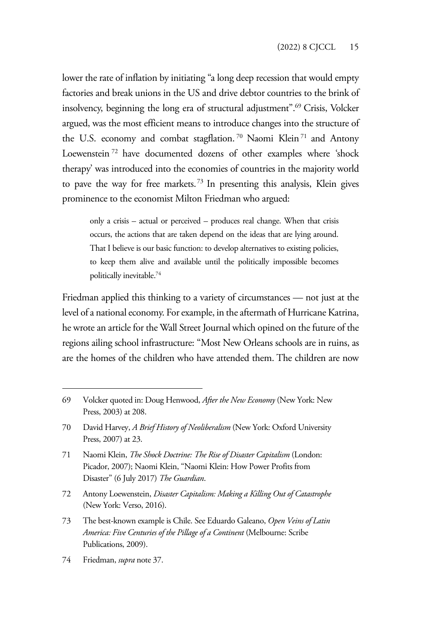lower the rate of inflation by initiating "a long deep recession that would empty factories and break unions in the US and drive debtor countries to the brink of insolvency, beginning the long era of structural adjustment".<sup>69</sup> Crisis, Volcker argued, was the most efficient means to introduce changes into the structure of the U.S. economy and combat stagflation.<sup>70</sup> Naomi Klein<sup>71</sup> and Antony Loewenstein 72 have documented dozens of other examples where 'shock therapy' was introduced into the economies of countries in the majority world to pave the way for free markets.<sup>73</sup> In presenting this analysis, Klein gives prominence to the economist Milton Friedman who argued:

only a crisis – actual or perceived – produces real change. When that crisis occurs, the actions that are taken depend on the ideas that are lying around. That I believe is our basic function: to develop alternatives to existing policies, to keep them alive and available until the politically impossible becomes politically inevitable.74

Friedman applied this thinking to a variety of circumstances — not just at the level of a national economy. For example, in the aftermath of Hurricane Katrina, he wrote an article for the Wall Street Journal which opined on the future of the regions ailing school infrastructure: "Most New Orleans schools are in ruins, as are the homes of the children who have attended them. The children are now

72 Antony Loewenstein, *Disaster Capitalism: Making a Killing Out of Catastrophe* (New York: Verso, 2016).

74 Friedman, *supra* note 37.

<sup>69</sup> Volcker quoted in: Doug Henwood, *After the New Economy* (New York: New Press, 2003) at 208.

<sup>70</sup> David Harvey, *A Brief History of Neoliberalism* (New York: Oxford University Press, 2007) at 23.

<sup>71</sup> Naomi Klein, *The Shock Doctrine: The Rise of Disaster Capitalism* (London: Picador, 2007); Naomi Klein, "Naomi Klein: How Power Profits from Disaster" (6 July 2017) *The Guardian*.

<sup>73</sup> The best-known example is Chile. See Eduardo Galeano, *Open Veins of Latin America: Five Centuries of the Pillage of a Continent* (Melbourne: Scribe Publications, 2009).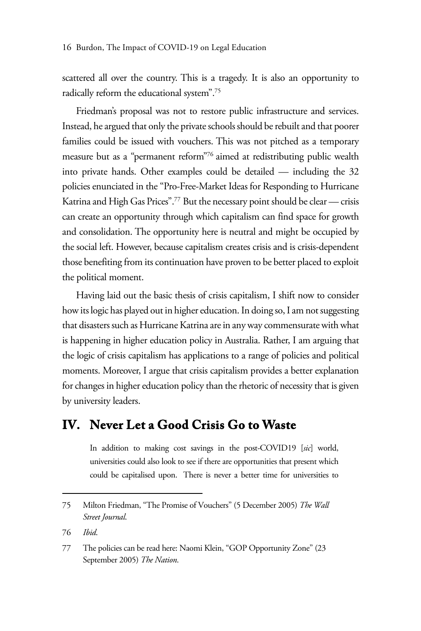scattered all over the country. This is a tragedy. It is also an opportunity to radically reform the educational system".75

Friedman's proposal was not to restore public infrastructure and services. Instead, he argued that only the private schools should be rebuilt and that poorer families could be issued with vouchers. This was not pitched as a temporary measure but as a "permanent reform"76 aimed at redistributing public wealth into private hands. Other examples could be detailed — including the 32 policies enunciated in the "Pro-Free-Market Ideas for Responding to Hurricane Katrina and High Gas Prices".77 But the necessary point should be clear — crisis can create an opportunity through which capitalism can find space for growth and consolidation. The opportunity here is neutral and might be occupied by the social left. However, because capitalism creates crisis and is crisis-dependent those benefiting from its continuation have proven to be better placed to exploit the political moment.

Having laid out the basic thesis of crisis capitalism, I shift now to consider how its logic has played out in higher education. In doing so, I am not suggesting that disasters such as Hurricane Katrina are in any way commensurate with what is happening in higher education policy in Australia. Rather, I am arguing that the logic of crisis capitalism has applications to a range of policies and political moments. Moreover, I argue that crisis capitalism provides a better explanation for changes in higher education policy than the rhetoric of necessity that is given by university leaders.

### **IV. Never Let a Good Crisis Go to Waste**

In addition to making cost savings in the post-COVID19 [*sic*] world, universities could also look to see if there are opportunities that present which could be capitalised upon. There is never a better time for universities to

<sup>75</sup> Milton Friedman, "The Promise of Vouchers" (5 December 2005) *The Wall Street Journal*.

<sup>76</sup> *Ibid*.

<sup>77</sup> The policies can be read here: Naomi Klein, "GOP Opportunity Zone" (23 September 2005) *The Nation*.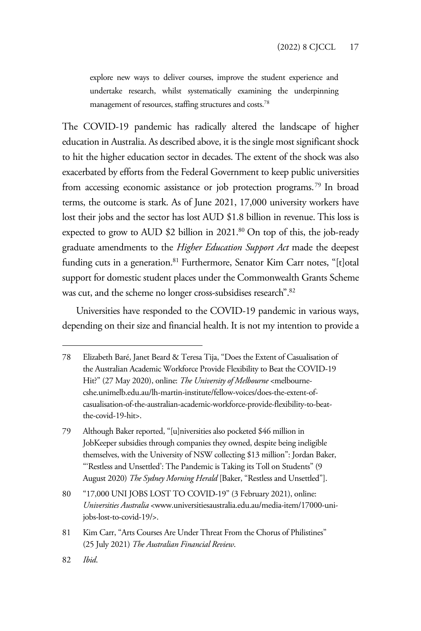explore new ways to deliver courses, improve the student experience and undertake research, whilst systematically examining the underpinning management of resources, staffing structures and costs.78

The COVID-19 pandemic has radically altered the landscape of higher education in Australia. As described above, it is the single most significant shock to hit the higher education sector in decades. The extent of the shock was also exacerbated by efforts from the Federal Government to keep public universities from accessing economic assistance or job protection programs.<sup>79</sup> In broad terms, the outcome is stark. As of June 2021, 17,000 university workers have lost their jobs and the sector has lost AUD \$1.8 billion in revenue. This loss is expected to grow to AUD \$2 billion in 2021.<sup>80</sup> On top of this, the job-ready graduate amendments to the *Higher Education Support Act* made the deepest funding cuts in a generation.<sup>81</sup> Furthermore, Senator Kim Carr notes, "[t]otal support for domestic student places under the Commonwealth Grants Scheme was cut, and the scheme no longer cross-subsidises research".<sup>82</sup>

Universities have responded to the COVID-19 pandemic in various ways, depending on their size and financial health. It is not my intention to provide a

<sup>78</sup> Elizabeth Baré, Janet Beard & Teresa Tija, "Does the Extent of Casualisation of the Australian Academic Workforce Provide Flexibility to Beat the COVID-19 Hit?" (27 May 2020), online: *The University of Melbourne* <melbournecshe.unimelb.edu.au/lh-martin-institute/fellow-voices/does-the-extent-ofcasualisation-of-the-australian-academic-workforce-provide-flexibility-to-beatthe-covid-19-hit>.

<sup>79</sup> Although Baker reported, "[u]niversities also pocketed \$46 million in JobKeeper subsidies through companies they owned, despite being ineligible themselves, with the University of NSW collecting \$13 million": Jordan Baker, "'Restless and Unsettled': The Pandemic is Taking its Toll on Students" (9 August 2020) *The Sydney Morning Herald* [Baker, "Restless and Unsettled"].

<sup>80 &</sup>quot;17,000 UNI JOBS LOST TO COVID-19" (3 February 2021), online: *Universities Australia* <www.universitiesaustralia.edu.au/media-item/17000-unijobs-lost-to-covid-19/>.

<sup>81</sup> Kim Carr, "Arts Courses Are Under Threat From the Chorus of Philistines" (25 July 2021) *The Australian Financial Review*.

<sup>82</sup> *Ibid*.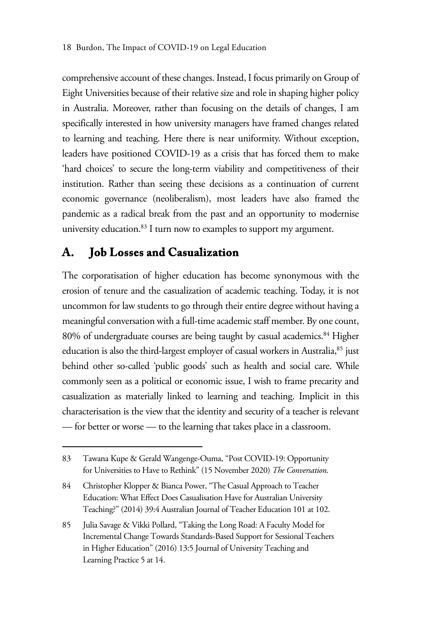comprehensive account of these changes. Instead, I focus primarily on Group of Eight Universities because of their relative size and role in shaping higher policy in Australia. Moreover, rather than focusing on the details of changes, I am specifically interested in how university managers have framed changes related to learning and teaching. Here there is near uniformity. Without exception, leaders have positioned COVID-19 as a crisis that has forced them to make 'hard choices' to secure the long-term viability and competitiveness of their institution. Rather than seeing these decisions as a continuation of current economic governance (neoliberalism), most leaders have also framed the pandemic as a radical break from the past and an opportunity to modernise university education.<sup>83</sup> I turn now to examples to support my argument.

#### **A. Job Losses and Casualization**

The corporatisation of higher education has become synonymous with the erosion of tenure and the casualization of academic teaching. Today, it is not uncommon for law students to go through their entire degree without having a meaningful conversation with a full-time academic staff member. By one count, 80% of undergraduate courses are being taught by casual academics.<sup>84</sup> Higher education is also the third-largest employer of casual workers in Australia,<sup>85</sup> just behind other so-called 'public goods' such as health and social care. While commonly seen as a political or economic issue, I wish to frame precarity and casualization as materially linked to learning and teaching. Implicit in this characterisation is the view that the identity and security of a teacher is relevant — for better or worse — to the learning that takes place in a classroom.

<sup>83</sup> Tawana Kupe & Gerald Wangenge-Ouma, "Post COVID-19: Opportunity for Universities to Have to Rethink" (15 November 2020) *The Conversation*.

<sup>84</sup> Christopher Klopper & Bianca Power, "The Casual Approach to Teacher Education: What Effect Does Casualisation Have for Australian University Teaching?" (2014) 39:4 Australian Journal of Teacher Education 101 at 102.

<sup>85</sup> Julia Savage & Vikki Pollard, "Taking the Long Road: A Faculty Model for Incremental Change Towards Standards-Based Support for Sessional Teachers in Higher Education" (2016) 13:5 Journal of University Teaching and Learning Practice 5 at 14.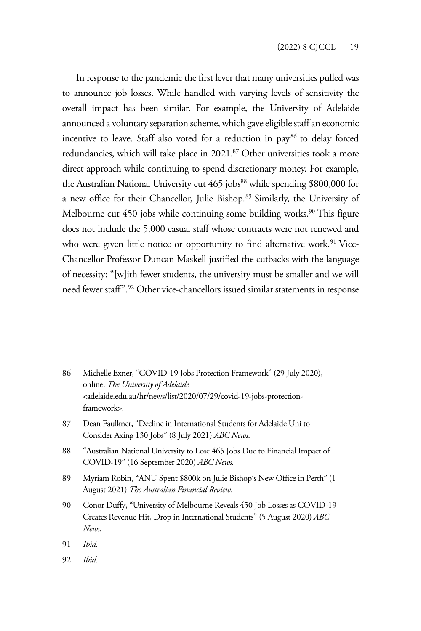In response to the pandemic the first lever that many universities pulled was to announce job losses. While handled with varying levels of sensitivity the overall impact has been similar. For example, the University of Adelaide announced a voluntary separation scheme, which gave eligible staff an economic incentive to leave. Staff also voted for a reduction in  $pay<sup>86</sup>$  to delay forced redundancies, which will take place in 2021.<sup>87</sup> Other universities took a more direct approach while continuing to spend discretionary money. For example, the Australian National University cut  $465$  jobs $^{88}$  while spending \$800,000 for a new office for their Chancellor, Julie Bishop.89 Similarly, the University of Melbourne cut 450 jobs while continuing some building works.<sup>90</sup> This figure does not include the 5,000 casual staff whose contracts were not renewed and who were given little notice or opportunity to find alternative work.<sup>91</sup> Vice-Chancellor Professor Duncan Maskell justified the cutbacks with the language of necessity: "[w]ith fewer students, the university must be smaller and we will need fewer staff".92 Other vice-chancellors issued similar statements in response

86 Michelle Exner, "COVID-19 Jobs Protection Framework" (29 July 2020), online: *The University of Adelaide* <adelaide.edu.au/hr/news/list/2020/07/29/covid-19-jobs-protectionframework>.

- 87 Dean Faulkner, "Decline in International Students for Adelaide Uni to Consider Axing 130 Jobs" (8 July 2021) *ABC News*.
- 88 "Australian National University to Lose 465 Jobs Due to Financial Impact of COVID-19" (16 September 2020) *ABC News.*
- 89 Myriam Robin, "ANU Spent \$800k on Julie Bishop's New Office in Perth" (1 August 2021) *The Australian Financial Review*.
- 90 Conor Duffy, "University of Melbourne Reveals 450 Job Losses as COVID-19 Creates Revenue Hit, Drop in International Students" (5 August 2020) *ABC News*.
- 91 *Ibid*.
- 92 *Ibid.*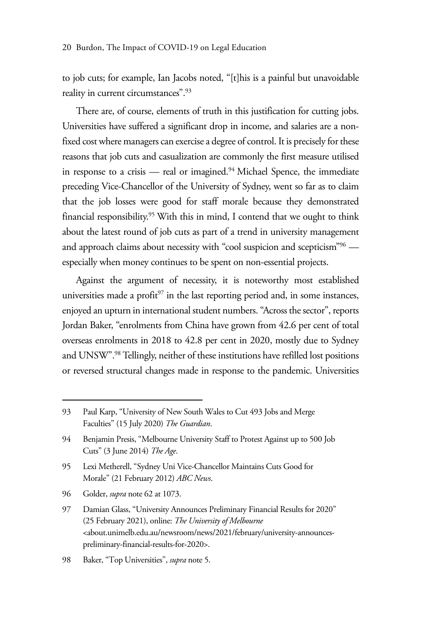to job cuts; for example, Ian Jacobs noted, "[t]his is a painful but unavoidable reality in current circumstances".<sup>93</sup>

There are, of course, elements of truth in this justification for cutting jobs. Universities have suffered a significant drop in income, and salaries are a nonfixed cost where managers can exercise a degree of control. It is precisely for these reasons that job cuts and casualization are commonly the first measure utilised in response to a crisis — real or imagined. $94$  Michael Spence, the immediate preceding Vice-Chancellor of the University of Sydney, went so far as to claim that the job losses were good for staff morale because they demonstrated financial responsibility.<sup>95</sup> With this in mind, I contend that we ought to think about the latest round of job cuts as part of a trend in university management and approach claims about necessity with "cool suspicion and scepticism"<sup>96</sup> especially when money continues to be spent on non-essential projects.

Against the argument of necessity, it is noteworthy most established universities made a profit $97$  in the last reporting period and, in some instances, enjoyed an upturn in international student numbers. "Across the sector", reports Jordan Baker, "enrolments from China have grown from 42.6 per cent of total overseas enrolments in 2018 to 42.8 per cent in 2020, mostly due to Sydney and UNSW".98 Tellingly, neither of these institutions have refilled lost positions or reversed structural changes made in response to the pandemic. Universities

96 Golder, *supra* note 62 at 1073.

<sup>93</sup> Paul Karp, "University of New South Wales to Cut 493 Jobs and Merge Faculties" (15 July 2020) *The Guardian*.

<sup>94</sup> Benjamin Presis, "Melbourne University Staff to Protest Against up to 500 Job Cuts" (3 June 2014) *The Age*.

<sup>95</sup> Lexi Metherell, "Sydney Uni Vice-Chancellor Maintains Cuts Good for Morale" (21 February 2012) *ABC News*.

<sup>97</sup> Damian Glass, "University Announces Preliminary Financial Results for 2020" (25 February 2021), online: *The University of Melbourne* <about.unimelb.edu.au/newsroom/news/2021/february/university-announcespreliminary-financial-results-for-2020>.

<sup>98</sup> Baker, "Top Universities", *supra* note 5.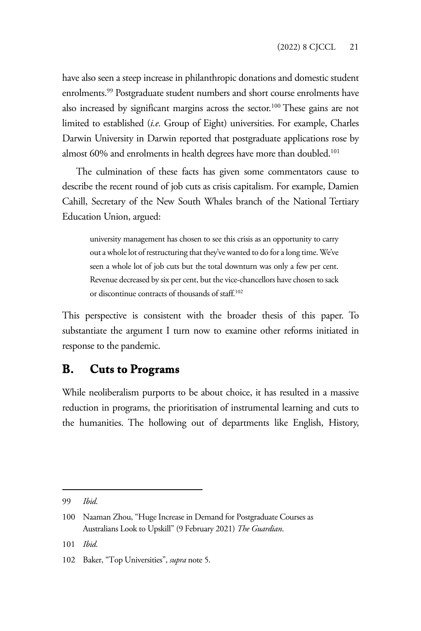have also seen a steep increase in philanthropic donations and domestic student enrolments.<sup>99</sup> Postgraduate student numbers and short course enrolments have also increased by significant margins across the sector.<sup>100</sup> These gains are not limited to established (*i.e.* Group of Eight) universities. For example, Charles Darwin University in Darwin reported that postgraduate applications rose by almost 60% and enrolments in health degrees have more than doubled.<sup>101</sup>

The culmination of these facts has given some commentators cause to describe the recent round of job cuts as crisis capitalism. For example, Damien Cahill, Secretary of the New South Whales branch of the National Tertiary Education Union, argued:

university management has chosen to see this crisis as an opportunity to carry out a whole lot of restructuring that they've wanted to do for a long time. We've seen a whole lot of job cuts but the total downturn was only a few per cent. Revenue decreased by six per cent, but the vice-chancellors have chosen to sack or discontinue contracts of thousands of staff.102

This perspective is consistent with the broader thesis of this paper. To substantiate the argument I turn now to examine other reforms initiated in response to the pandemic.

#### **B. Cuts to Programs**

While neoliberalism purports to be about choice, it has resulted in a massive reduction in programs, the prioritisation of instrumental learning and cuts to the humanities. The hollowing out of departments like English, History,

<sup>99</sup> *Ibid*.

<sup>100</sup> Naaman Zhou, "Huge Increase in Demand for Postgraduate Courses as Australians Look to Upskill" (9 February 2021) *The Guardian*.

<sup>101</sup> *Ibid*.

<sup>102</sup> Baker, "Top Universities", *supra* note 5.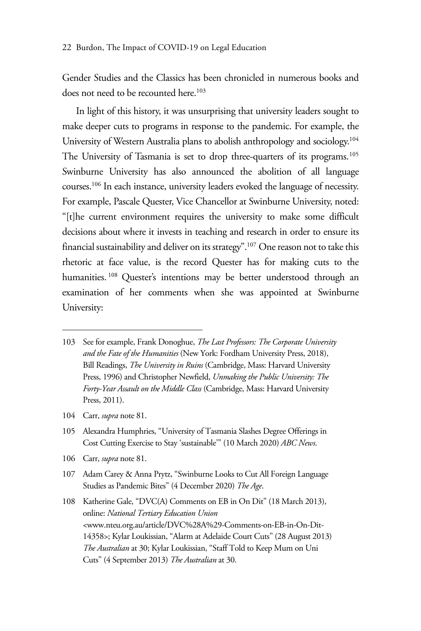Gender Studies and the Classics has been chronicled in numerous books and does not need to be recounted here.<sup>103</sup>

In light of this history, it was unsurprising that university leaders sought to make deeper cuts to programs in response to the pandemic. For example, the University of Western Australia plans to abolish anthropology and sociology.104 The University of Tasmania is set to drop three-quarters of its programs.<sup>105</sup> Swinburne University has also announced the abolition of all language courses.106 In each instance, university leaders evoked the language of necessity. For example, Pascale Quester, Vice Chancellor at Swinburne University, noted: "[t]he current environment requires the university to make some difficult decisions about where it invests in teaching and research in order to ensure its financial sustainability and deliver on its strategy".<sup>107</sup> One reason not to take this rhetoric at face value, is the record Quester has for making cuts to the humanities.<sup>108</sup> Quester's intentions may be better understood through an examination of her comments when she was appointed at Swinburne University:

- 104 Carr, *supra* note 81.
- 105 Alexandra Humphries, "University of Tasmania Slashes Degree Offerings in Cost Cutting Exercise to Stay 'sustainable'" (10 March 2020) *ABC News*.
- 106 Carr, *supra* note 81.
- 107 Adam Carey & Anna Prytz, "Swinburne Looks to Cut All Foreign Language Studies as Pandemic Bites" (4 December 2020) *The Age*.

108 Katherine Gale, "DVC(A) Comments on EB in On Dit" (18 March 2013), online: *National Tertiary Education Union*  <www.nteu.org.au/article/DVC%28A%29-Comments-on-EB-in-On-Dit-14358>; Kylar Loukissian, "Alarm at Adelaide Court Cuts" (28 August 2013) *The Australian* at 30; Kylar Loukissian, "Staff Told to Keep Mum on Uni Cuts" (4 September 2013) *The Australian* at 30.

<sup>103</sup> See for example, Frank Donoghue, *The Last Professors: The Corporate University and the Fate of the Humanities* (New York: Fordham University Press, 2018), Bill Readings, *The University in Ruins* (Cambridge, Mass: Harvard University Press, 1996) and Christopher Newfield, *Unmaking the Public University: The Forty-Year Assault on the Middle Class* (Cambridge, Mass: Harvard University Press, 2011).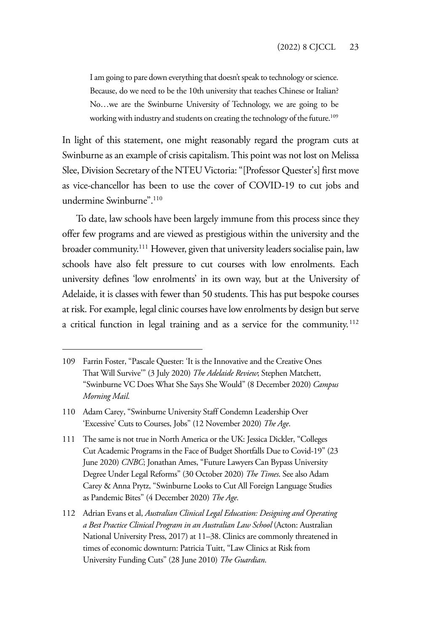I am going to pare down everything that doesn't speak to technology or science. Because, do we need to be the 10th university that teaches Chinese or Italian? No…we are the Swinburne University of Technology, we are going to be working with industry and students on creating the technology of the future.<sup>109</sup>

In light of this statement, one might reasonably regard the program cuts at Swinburne as an example of crisis capitalism. This point was not lost on Melissa Slee, Division Secretary of the NTEU Victoria: "[Professor Quester's] first move as vice-chancellor has been to use the cover of COVID-19 to cut jobs and undermine Swinburne".110

To date, law schools have been largely immune from this process since they offer few programs and are viewed as prestigious within the university and the broader community.111 However, given that university leaders socialise pain, law schools have also felt pressure to cut courses with low enrolments. Each university defines 'low enrolments' in its own way, but at the University of Adelaide, it is classes with fewer than 50 students. This has put bespoke courses at risk. For example, legal clinic courses have low enrolments by design but serve a critical function in legal training and as a service for the community. <sup>112</sup>

<sup>109</sup> Farrin Foster, "Pascale Quester: 'It is the Innovative and the Creative Ones That Will Survive'" (3 July 2020) *The Adelaide Review*; Stephen Matchett, "Swinburne VC Does What She Says She Would" (8 December 2020) *Campus Morning Mail*.

<sup>110</sup> Adam Carey, "Swinburne University Staff Condemn Leadership Over 'Excessive' Cuts to Courses, Jobs" (12 November 2020) *The Age*.

<sup>111</sup> The same is not true in North America or the UK: Jessica Dickler, "Colleges Cut Academic Programs in the Face of Budget Shortfalls Due to Covid-19" (23 June 2020) *CNBC*; Jonathan Ames, "Future Lawyers Can Bypass University Degree Under Legal Reforms" (30 October 2020) *The Times*. See also Adam Carey & Anna Prytz, "Swinburne Looks to Cut All Foreign Language Studies as Pandemic Bites" (4 December 2020) *The Age*.

<sup>112</sup> Adrian Evans et al, *Australian Clinical Legal Education: Designing and Operating a Best Practice Clinical Program in an Australian Law School* (Acton: Australian National University Press, 2017) at 11–38. Clinics are commonly threatened in times of economic downturn: Patricia Tuitt, "Law Clinics at Risk from University Funding Cuts" (28 June 2010) *The Guardian*.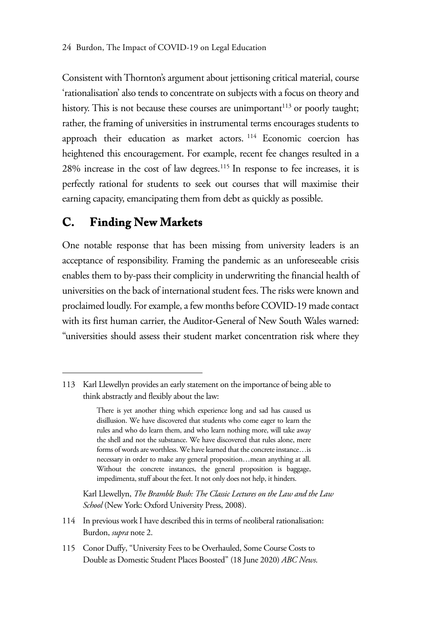Consistent with Thornton's argument about jettisoning critical material, course 'rationalisation' also tends to concentrate on subjects with a focus on theory and history. This is not because these courses are unimportant<sup>113</sup> or poorly taught; rather, the framing of universities in instrumental terms encourages students to approach their education as market actors. 114 Economic coercion has heightened this encouragement. For example, recent fee changes resulted in a 28% increase in the cost of law degrees.115 In response to fee increases, it is perfectly rational for students to seek out courses that will maximise their earning capacity, emancipating them from debt as quickly as possible.

### **C. Finding New Markets**

One notable response that has been missing from university leaders is an acceptance of responsibility. Framing the pandemic as an unforeseeable crisis enables them to by-pass their complicity in underwriting the financial health of universities on the back of international student fees. The risks were known and proclaimed loudly. For example, a few months before COVID-19 made contact with its first human carrier, the Auditor-General of New South Wales warned: "universities should assess their student market concentration risk where they

Karl Llewellyn, *The Bramble Bush: The Classic Lectures on the Law and the Law School* (New York: Oxford University Press, 2008).

<sup>113</sup> Karl Llewellyn provides an early statement on the importance of being able to think abstractly and flexibly about the law:

There is yet another thing which experience long and sad has caused us disillusion. We have discovered that students who come eager to learn the rules and who do learn them, and who learn nothing more, will take away the shell and not the substance. We have discovered that rules alone, mere forms of words are worthless. We have learned that the concrete instance…is necessary in order to make any general proposition…mean anything at all. Without the concrete instances, the general proposition is baggage, impedimenta, stuff about the feet. It not only does not help, it hinders.

<sup>114</sup> In previous work I have described this in terms of neoliberal rationalisation: Burdon, *supra* note 2.

<sup>115</sup> Conor Duffy, "University Fees to be Overhauled, Some Course Costs to Double as Domestic Student Places Boosted" (18 June 2020) *ABC News*.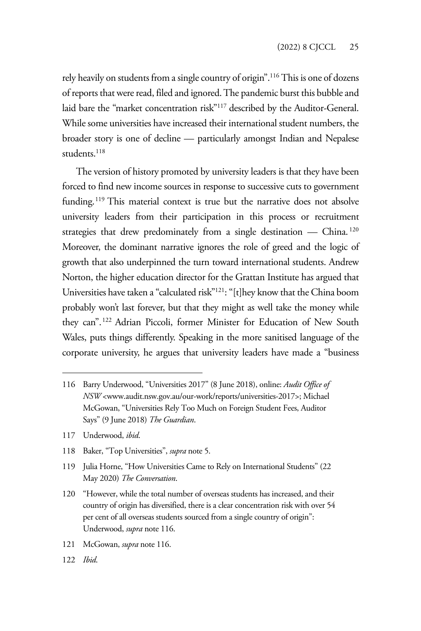rely heavily on students from a single country of origin".116 This is one of dozens of reports that were read, filed and ignored. The pandemic burst this bubble and laid bare the "market concentration risk"117 described by the Auditor-General. While some universities have increased their international student numbers, the broader story is one of decline — particularly amongst Indian and Nepalese students<sup>118</sup>

The version of history promoted by university leaders is that they have been forced to find new income sources in response to successive cuts to government funding.<sup>119</sup> This material context is true but the narrative does not absolve university leaders from their participation in this process or recruitment strategies that drew predominately from a single destination — China.<sup>120</sup> Moreover, the dominant narrative ignores the role of greed and the logic of growth that also underpinned the turn toward international students. Andrew Norton, the higher education director for the Grattan Institute has argued that Universities have taken a "calculated risk"121: "[t]hey know that the China boom probably won't last forever, but that they might as well take the money while they can".122 Adrian Piccoli, former Minister for Education of New South Wales, puts things differently. Speaking in the more sanitised language of the corporate university, he argues that university leaders have made a "business

- 117 Underwood, *ibid*.
- 118 Baker, "Top Universities", *supra* note 5.

- 121 McGowan, *supra* note 116.
- 122 *Ibid*.

<sup>116</sup> Barry Underwood, "Universities 2017" (8 June 2018), online: *Audit Office of NSW* <www.audit.nsw.gov.au/our-work/reports/universities-2017>; Michael McGowan, "Universities Rely Too Much on Foreign Student Fees, Auditor Says" (9 June 2018) *The Guardian*.

<sup>119</sup> Julia Horne, "How Universities Came to Rely on International Students" (22 May 2020) *The Conversation*.

<sup>120 &</sup>quot;However, while the total number of overseas students has increased, and their country of origin has diversified, there is a clear concentration risk with over 54 per cent of all overseas students sourced from a single country of origin": Underwood, *supra* note 116.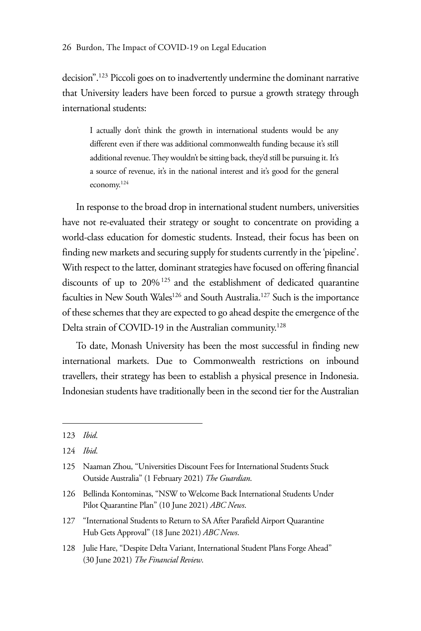decision".123 Piccoli goes on to inadvertently undermine the dominant narrative that University leaders have been forced to pursue a growth strategy through international students:

I actually don't think the growth in international students would be any different even if there was additional commonwealth funding because it's still additional revenue. They wouldn't be sitting back, they'd still be pursuing it. It's a source of revenue, it's in the national interest and it's good for the general economy.124

In response to the broad drop in international student numbers, universities have not re-evaluated their strategy or sought to concentrate on providing a world-class education for domestic students. Instead, their focus has been on finding new markets and securing supply for students currently in the 'pipeline'. With respect to the latter, dominant strategies have focused on offering financial discounts of up to 20%125 and the establishment of dedicated quarantine faculties in New South Wales<sup>126</sup> and South Australia.<sup>127</sup> Such is the importance of these schemes that they are expected to go ahead despite the emergence of the Delta strain of COVID-19 in the Australian community.<sup>128</sup>

To date, Monash University has been the most successful in finding new international markets. Due to Commonwealth restrictions on inbound travellers, their strategy has been to establish a physical presence in Indonesia. Indonesian students have traditionally been in the second tier for the Australian

<sup>123</sup> *Ibid*.

<sup>124</sup> *Ibid*.

<sup>125</sup> Naaman Zhou, "Universities Discount Fees for International Students Stuck Outside Australia" (1 February 2021) *The Guardian*.

<sup>126</sup> Bellinda Kontominas, "NSW to Welcome Back International Students Under Pilot Quarantine Plan" (10 June 2021) *ABC News*.

<sup>127 &</sup>quot;International Students to Return to SA After Parafield Airport Quarantine Hub Gets Approval" (18 June 2021) *ABC News*.

<sup>128</sup> Julie Hare, "Despite Delta Variant, International Student Plans Forge Ahead" (30 June 2021) *The Financial Review*.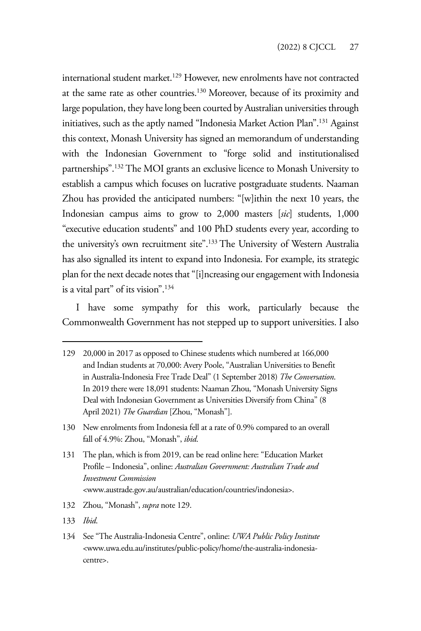international student market.<sup>129</sup> However, new enrolments have not contracted at the same rate as other countries.130 Moreover, because of its proximity and large population, they have long been courted by Australian universities through initiatives, such as the aptly named "Indonesia Market Action Plan".131 Against this context, Monash University has signed an memorandum of understanding with the Indonesian Government to "forge solid and institutionalised partnerships".132 The MOI grants an exclusive licence to Monash University to establish a campus which focuses on lucrative postgraduate students. Naaman Zhou has provided the anticipated numbers: "[w]ithin the next 10 years, the Indonesian campus aims to grow to 2,000 masters [*sic*] students, 1,000 "executive education students" and 100 PhD students every year, according to the university's own recruitment site".<sup>133</sup> The University of Western Australia has also signalled its intent to expand into Indonesia. For example, its strategic plan for the next decade notes that "[i]ncreasing our engagement with Indonesia is a vital part" of its vision".134

I have some sympathy for this work, particularly because the Commonwealth Government has not stepped up to support universities. I also

- 132 Zhou, "Monash", *supra* note 129.
- 133 *Ibid*.
- 134 See "The Australia-Indonesia Centre", online: *UWA Public Policy Institute* <www.uwa.edu.au/institutes/public-policy/home/the-australia-indonesiacentre>.

<sup>129 20,000</sup> in 2017 as opposed to Chinese students which numbered at 166,000 and Indian students at 70,000: Avery Poole, "Australian Universities to Benefit in Australia-Indonesia Free Trade Deal" (1 September 2018) *The Conversation*. In 2019 there were 18,091 students: Naaman Zhou, "Monash University Signs Deal with Indonesian Government as Universities Diversify from China" (8 April 2021) *The Guardian* [Zhou, "Monash"].

<sup>130</sup> New enrolments from Indonesia fell at a rate of 0.9% compared to an overall fall of 4.9%: Zhou, "Monash", *ibid*.

<sup>131</sup> The plan, which is from 2019, can be read online here: "Education Market Profile – Indonesia", online: *Australian Government: Australian Trade and Investment Commission*  <www.austrade.gov.au/australian/education/countries/indonesia>.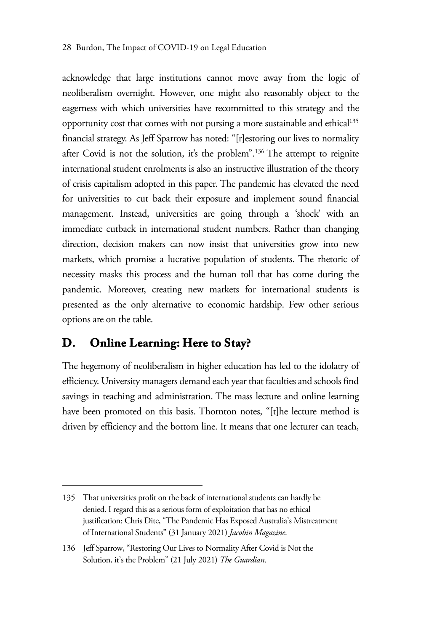#### 28 Burdon, The Impact of COVID-19 on Legal Education

acknowledge that large institutions cannot move away from the logic of neoliberalism overnight. However, one might also reasonably object to the eagerness with which universities have recommitted to this strategy and the opportunity cost that comes with not pursing a more sustainable and ethical<sup>135</sup> financial strategy. As Jeff Sparrow has noted: "[r]estoring our lives to normality after Covid is not the solution, it's the problem".136 The attempt to reignite international student enrolments is also an instructive illustration of the theory of crisis capitalism adopted in this paper. The pandemic has elevated the need for universities to cut back their exposure and implement sound financial management. Instead, universities are going through a 'shock' with an immediate cutback in international student numbers. Rather than changing direction, decision makers can now insist that universities grow into new markets, which promise a lucrative population of students. The rhetoric of necessity masks this process and the human toll that has come during the pandemic. Moreover, creating new markets for international students is presented as the only alternative to economic hardship. Few other serious options are on the table.

#### **D. Online Learning: Here to Stay?**

The hegemony of neoliberalism in higher education has led to the idolatry of efficiency. University managers demand each year that faculties and schools find savings in teaching and administration. The mass lecture and online learning have been promoted on this basis. Thornton notes, "[t]he lecture method is driven by efficiency and the bottom line. It means that one lecturer can teach,

<sup>135</sup> That universities profit on the back of international students can hardly be denied. I regard this as a serious form of exploitation that has no ethical justification: Chris Dite, "The Pandemic Has Exposed Australia's Mistreatment of International Students" (31 January 2021) *Jacobin Magazine*.

<sup>136</sup> Jeff Sparrow, "Restoring Our Lives to Normality After Covid is Not the Solution, it's the Problem" (21 July 2021) *The Guardian*.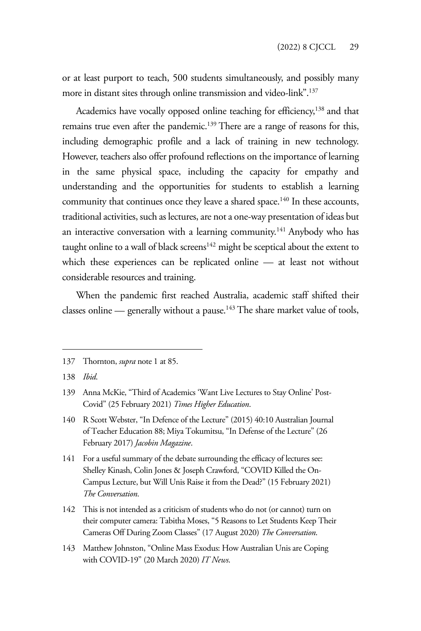or at least purport to teach, 500 students simultaneously, and possibly many more in distant sites through online transmission and video-link".<sup>137</sup>

Academics have vocally opposed online teaching for efficiency,<sup>138</sup> and that remains true even after the pandemic.<sup>139</sup> There are a range of reasons for this, including demographic profile and a lack of training in new technology. However, teachers also offer profound reflections on the importance of learning in the same physical space, including the capacity for empathy and understanding and the opportunities for students to establish a learning community that continues once they leave a shared space.<sup>140</sup> In these accounts, traditional activities, such as lectures, are not a one-way presentation of ideas but an interactive conversation with a learning community.<sup>141</sup> Anybody who has taught online to a wall of black screens $142$  might be sceptical about the extent to which these experiences can be replicated online — at least not without considerable resources and training.

When the pandemic first reached Australia, academic staff shifted their classes online — generally without a pause.<sup>143</sup> The share market value of tools,

<sup>137</sup> Thornton, *supra* note 1 at 85.

<sup>138</sup> *Ibid*.

<sup>139</sup> Anna McKie, "Third of Academics 'Want Live Lectures to Stay Online' Post-Covid" (25 February 2021) *Times Higher Education*.

<sup>140</sup> R Scott Webster, "In Defence of the Lecture" (2015) 40:10 Australian Journal of Teacher Education 88; Miya Tokumitsu, "In Defense of the Lecture" (26 February 2017) *Jacobin Magazine*.

<sup>141</sup> For a useful summary of the debate surrounding the efficacy of lectures see: Shelley Kinash, Colin Jones & Joseph Crawford, "COVID Killed the On-Campus Lecture, but Will Unis Raise it from the Dead?" (15 February 2021) *The Conversation*.

<sup>142</sup> This is not intended as a criticism of students who do not (or cannot) turn on their computer camera: Tabitha Moses, "5 Reasons to Let Students Keep Their Cameras Off During Zoom Classes" (17 August 2020) *The Conversation*.

<sup>143</sup> Matthew Johnston, "Online Mass Exodus: How Australian Unis are Coping with COVID-19" (20 March 2020) *IT News*.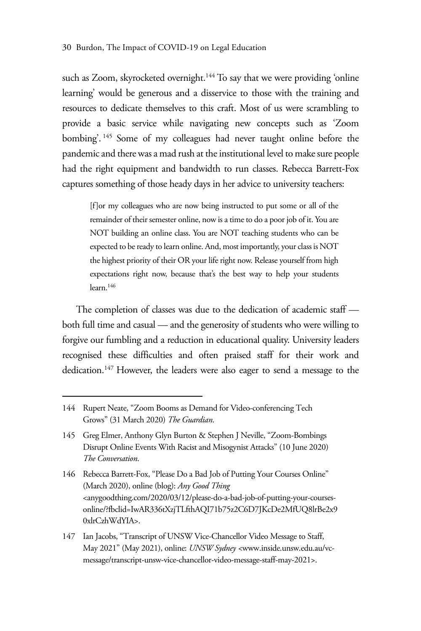such as Zoom, skyrocketed overnight.<sup>144</sup> To say that we were providing 'online learning' would be generous and a disservice to those with the training and resources to dedicate themselves to this craft. Most of us were scrambling to provide a basic service while navigating new concepts such as 'Zoom bombing'. 145 Some of my colleagues had never taught online before the pandemic and there was a mad rush at the institutional level to make sure people had the right equipment and bandwidth to run classes. Rebecca Barrett-Fox captures something of those heady days in her advice to university teachers:

[f]or my colleagues who are now being instructed to put some or all of the remainder of their semester online, now is a time to do a poor job of it. You are NOT building an online class. You are NOT teaching students who can be expected to be ready to learn online. And, most importantly, your class is NOT the highest priority of their OR your life right now. Release yourself from high expectations right now, because that's the best way to help your students learn.146

The completion of classes was due to the dedication of academic staff both full time and casual — and the generosity of students who were willing to forgive our fumbling and a reduction in educational quality. University leaders recognised these difficulties and often praised staff for their work and dedication.147 However, the leaders were also eager to send a message to the

<sup>144</sup> Rupert Neate, "Zoom Booms as Demand for Video-conferencing Tech Grows" (31 March 2020) *The Guardian*.

<sup>145</sup> Greg Elmer, Anthony Glyn Burton & Stephen J Neville, "Zoom-Bombings Disrupt Online Events With Racist and Misogynist Attacks" (10 June 2020) *The Conversation*.

<sup>146</sup> Rebecca Barrett-Fox, "Please Do a Bad Job of Putting Your Courses Online" (March 2020), online (blog): *Any Good Thing*  <anygoodthing.com/2020/03/12/please-do-a-bad-job-of-putting-your-coursesonline/?fbclid=IwAR336tXzjTLfthAQI71b75z2C6D7JKcDe2MfUQ8lrBe2x9 0xlrCzhWdYIA>.

<sup>147</sup> Ian Jacobs, "Transcript of UNSW Vice-Chancellor Video Message to Staff, May 2021" (May 2021), online: *UNSW Sydney <*www.inside.unsw.edu.au/vcmessage/transcript-unsw-vice-chancellor-video-message-staff-may-2021>.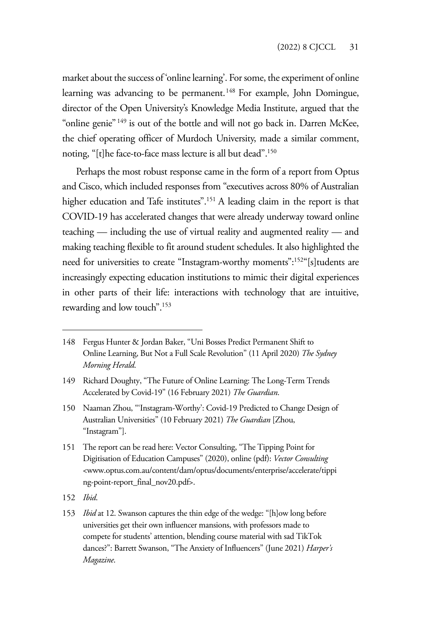market about the success of 'online learning'. For some, the experiment of online learning was advancing to be permanent.<sup>148</sup> For example, John Domingue, director of the Open University's Knowledge Media Institute, argued that the "online genie" 149 is out of the bottle and will not go back in. Darren McKee, the chief operating officer of Murdoch University, made a similar comment, noting, "[t]he face-to-face mass lecture is all but dead".150

Perhaps the most robust response came in the form of a report from Optus and Cisco, which included responses from "executives across 80% of Australian higher education and Tafe institutes".<sup>151</sup> A leading claim in the report is that COVID-19 has accelerated changes that were already underway toward online teaching — including the use of virtual reality and augmented reality — and making teaching flexible to fit around student schedules. It also highlighted the need for universities to create "Instagram-worthy moments":152"[s]tudents are increasingly expecting education institutions to mimic their digital experiences in other parts of their life: interactions with technology that are intuitive, rewarding and low touch".153

- 151 The report can be read here: Vector Consulting, "The Tipping Point for Digitisation of Education Campuses" (2020), online (pdf): *Vector Consulting*  <www.optus.com.au/content/dam/optus/documents/enterprise/accelerate/tippi ng-point-report\_final\_nov20.pdf>.
- 152 *Ibid*.
- 153 *Ibid* at 12. Swanson captures the thin edge of the wedge: "[h]ow long before universities get their own influencer mansions, with professors made to compete for students' attention, blending course material with sad TikTok dances?": Barrett Swanson, "The Anxiety of Influencers" (June 2021) *Harper's Magazine*.

<sup>148</sup> Fergus Hunter & Jordan Baker, "Uni Bosses Predict Permanent Shift to Online Learning, But Not a Full Scale Revolution" (11 April 2020) *The Sydney Morning Herald*.

<sup>149</sup> Richard Doughty, "The Future of Online Learning: The Long-Term Trends Accelerated by Covid-19" (16 February 2021) *The Guardian*.

<sup>150</sup> Naaman Zhou, "'Instagram-Worthy': Covid-19 Predicted to Change Design of Australian Universities" (10 February 2021) *The Guardian* [Zhou, "Instagram"].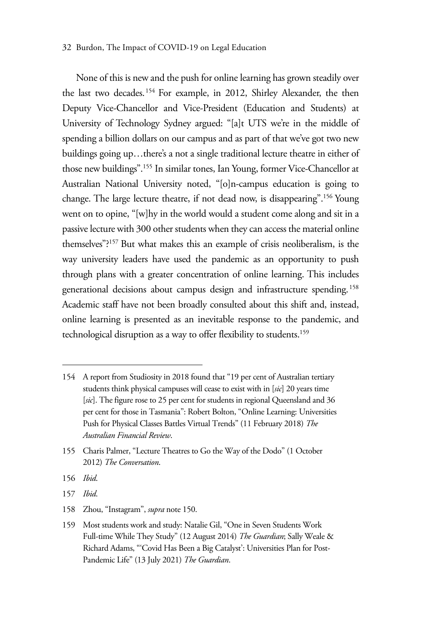#### 32 Burdon, The Impact of COVID-19 on Legal Education

None of this is new and the push for online learning has grown steadily over the last two decades.<sup>154</sup> For example, in 2012, Shirley Alexander, the then Deputy Vice-Chancellor and Vice-President (Education and Students) at University of Technology Sydney argued: "[a]t UTS we're in the middle of spending a billion dollars on our campus and as part of that we've got two new buildings going up…there's a not a single traditional lecture theatre in either of those new buildings".155 In similar tones, Ian Young, former Vice-Chancellor at Australian National University noted, "[o]n-campus education is going to change. The large lecture theatre, if not dead now, is disappearing".156 Young went on to opine, "[w]hy in the world would a student come along and sit in a passive lecture with 300 other students when they can access the material online themselves"?157 But what makes this an example of crisis neoliberalism, is the way university leaders have used the pandemic as an opportunity to push through plans with a greater concentration of online learning. This includes generational decisions about campus design and infrastructure spending. <sup>158</sup> Academic staff have not been broadly consulted about this shift and, instead, online learning is presented as an inevitable response to the pandemic, and technological disruption as a way to offer flexibility to students.159

- 156 *Ibid*.
- 157 *Ibid*.
- 158 Zhou, "Instagram", *supra* note 150.

<sup>154</sup> A report from Studiosity in 2018 found that "19 per cent of Australian tertiary students think physical campuses will cease to exist with in [*sic*] 20 years time [sic]. The figure rose to 25 per cent for students in regional Queensland and 36 per cent for those in Tasmania": Robert Bolton, "Online Learning: Universities Push for Physical Classes Battles Virtual Trends" (11 February 2018) *The Australian Financial Review*.

<sup>155</sup> Charis Palmer, "Lecture Theatres to Go the Way of the Dodo" (1 October 2012) *The Conversation*.

<sup>159</sup> Most students work and study: Natalie Gil, "One in Seven Students Work Full-time While They Study" (12 August 2014) *The Guardian*; Sally Weale & Richard Adams, "'Covid Has Been a Big Catalyst': Universities Plan for Post-Pandemic Life" (13 July 2021) *The Guardian*.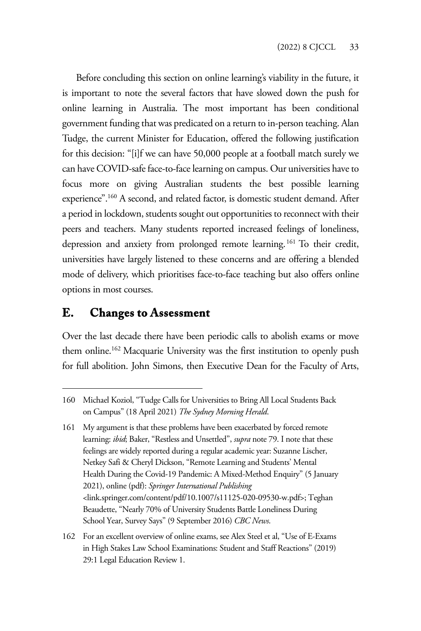Before concluding this section on online learning's viability in the future, it is important to note the several factors that have slowed down the push for online learning in Australia. The most important has been conditional government funding that was predicated on a return to in-person teaching. Alan Tudge, the current Minister for Education, offered the following justification for this decision: "[i]f we can have 50,000 people at a football match surely we can have COVID-safe face-to-face learning on campus. Our universities have to focus more on giving Australian students the best possible learning experience".160 A second, and related factor, is domestic student demand. After a period in lockdown, students sought out opportunities to reconnect with their peers and teachers. Many students reported increased feelings of loneliness, depression and anxiety from prolonged remote learning.161 To their credit, universities have largely listened to these concerns and are offering a blended mode of delivery, which prioritises face-to-face teaching but also offers online options in most courses.

#### **E. Changes to Assessment**

Over the last decade there have been periodic calls to abolish exams or move them online.<sup>162</sup> Macquarie University was the first institution to openly push for full abolition. John Simons, then Executive Dean for the Faculty of Arts,

<sup>160</sup> Michael Koziol, "Tudge Calls for Universities to Bring All Local Students Back on Campus" (18 April 2021) *The Sydney Morning Herald*.

<sup>161</sup> My argument is that these problems have been exacerbated by forced remote learning: *ibid*; Baker, "Restless and Unsettled", *supra* note 79. I note that these feelings are widely reported during a regular academic year: Suzanne Lischer, Netkey Safi & Cheryl Dickson, "Remote Learning and Students' Mental Health During the Covid-19 Pandemic: A Mixed-Method Enquiry" (5 January 2021), online (pdf): *Springer International Publishing*  <link.springer.com/content/pdf/10.1007/s11125-020-09530-w.pdf>; Teghan Beaudette, "Nearly 70% of University Students Battle Loneliness During School Year, Survey Says" (9 September 2016) *CBC News*.

<sup>162</sup> For an excellent overview of online exams, see Alex Steel et al, "Use of E-Exams in High Stakes Law School Examinations: Student and Staff Reactions" (2019) 29:1 Legal Education Review 1.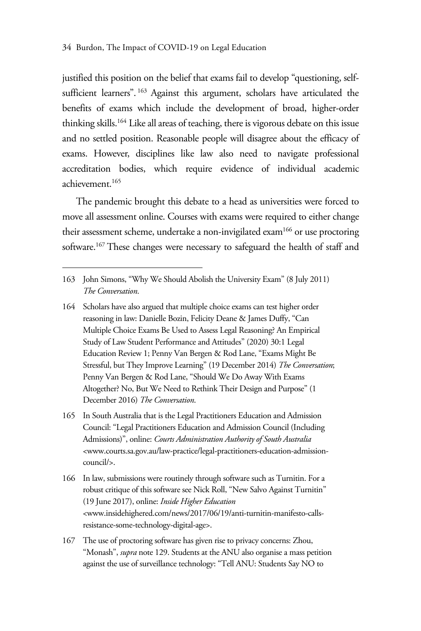justified this position on the belief that exams fail to develop "questioning, selfsufficient learners". 163 Against this argument, scholars have articulated the benefits of exams which include the development of broad, higher-order thinking skills.164 Like all areas of teaching, there is vigorous debate on this issue and no settled position. Reasonable people will disagree about the efficacy of exams. However, disciplines like law also need to navigate professional accreditation bodies, which require evidence of individual academic achievement.165

The pandemic brought this debate to a head as universities were forced to move all assessment online. Courses with exams were required to either change their assessment scheme, undertake a non-invigilated exam<sup>166</sup> or use proctoring software.167 These changes were necessary to safeguard the health of staff and

- 164 Scholars have also argued that multiple choice exams can test higher order reasoning in law: Danielle Bozin, Felicity Deane & James Duffy, "Can Multiple Choice Exams Be Used to Assess Legal Reasoning? An Empirical Study of Law Student Performance and Attitudes" (2020) 30:1 Legal Education Review 1; Penny Van Bergen & Rod Lane, "Exams Might Be Stressful, but They Improve Learning" (19 December 2014) *The Conversation*; Penny Van Bergen & Rod Lane, "Should We Do Away With Exams Altogether? No, But We Need to Rethink Their Design and Purpose" (1 December 2016) *The Conversation*.
- 165 In South Australia that is the Legal Practitioners Education and Admission Council: "Legal Practitioners Education and Admission Council (Including Admissions)", online: *Courts Administration Authority of South Australia*  <www.courts.sa.gov.au/law-practice/legal-practitioners-education-admissioncouncil/>.
- 166 In law, submissions were routinely through software such as Turnitin. For a robust critique of this software see Nick Roll, "New Salvo Against Turnitin" (19 June 2017), online: *Inside Higher Education*  <www.insidehighered.com/news/2017/06/19/anti-turnitin-manifesto-callsresistance-some-technology-digital-age>.
- 167 The use of proctoring software has given rise to privacy concerns: Zhou, "Monash", *supra* note 129. Students at the ANU also organise a mass petition against the use of surveillance technology: "Tell ANU: Students Say NO to

<sup>163</sup> John Simons, "Why We Should Abolish the University Exam" (8 July 2011) *The Conversation*.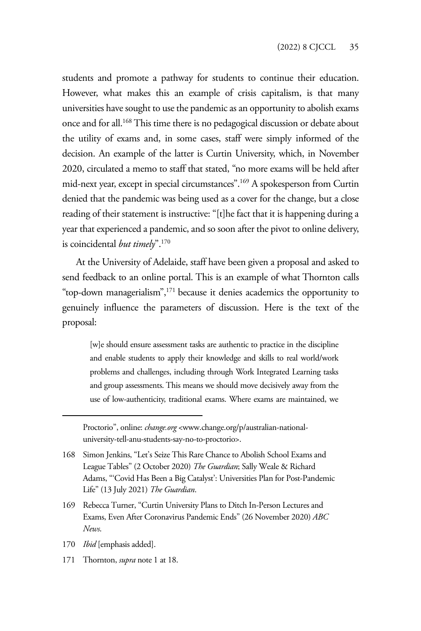students and promote a pathway for students to continue their education. However, what makes this an example of crisis capitalism, is that many universities have sought to use the pandemic as an opportunity to abolish exams once and for all.168 This time there is no pedagogical discussion or debate about the utility of exams and, in some cases, staff were simply informed of the decision. An example of the latter is Curtin University, which, in November 2020, circulated a memo to staff that stated, "no more exams will be held after mid-next year, except in special circumstances".169 A spokesperson from Curtin denied that the pandemic was being used as a cover for the change, but a close reading of their statement is instructive: "[t]he fact that it is happening during a year that experienced a pandemic, and so soon after the pivot to online delivery, is coincidental *but timely*".170

At the University of Adelaide, staff have been given a proposal and asked to send feedback to an online portal. This is an example of what Thornton calls "top-down managerialism",171 because it denies academics the opportunity to genuinely influence the parameters of discussion. Here is the text of the proposal:

[w]e should ensure assessment tasks are authentic to practice in the discipline and enable students to apply their knowledge and skills to real world/work problems and challenges, including through Work Integrated Learning tasks and group assessments. This means we should move decisively away from the use of low-authenticity, traditional exams. Where exams are maintained, we

- 170 *Ibid* [emphasis added].
- 171 Thornton, *supra* note 1 at 18.

Proctorio", online: *change.org* <www.change.org/p/australian-nationaluniversity-tell-anu-students-say-no-to-proctorio>.

<sup>168</sup> Simon Jenkins, "Let's Seize This Rare Chance to Abolish School Exams and League Tables" (2 October 2020) *The Guardian*; Sally Weale & Richard Adams, "'Covid Has Been a Big Catalyst': Universities Plan for Post-Pandemic Life" (13 July 2021) *The Guardian*.

<sup>169</sup> Rebecca Turner, "Curtin University Plans to Ditch In-Person Lectures and Exams, Even After Coronavirus Pandemic Ends" (26 November 2020) *ABC News*.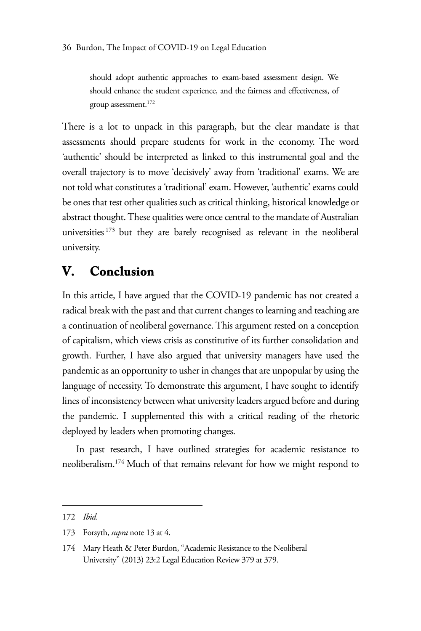should adopt authentic approaches to exam-based assessment design. We should enhance the student experience, and the fairness and effectiveness, of group assessment.172

There is a lot to unpack in this paragraph, but the clear mandate is that assessments should prepare students for work in the economy. The word 'authentic' should be interpreted as linked to this instrumental goal and the overall trajectory is to move 'decisively' away from 'traditional' exams. We are not told what constitutes a 'traditional' exam. However, 'authentic' exams could be ones that test other qualities such as critical thinking, historical knowledge or abstract thought. These qualities were once central to the mandate of Australian universities 173 but they are barely recognised as relevant in the neoliberal university.

#### **V. Conclusion**

In this article, I have argued that the COVID-19 pandemic has not created a radical break with the past and that current changes to learning and teaching are a continuation of neoliberal governance. This argument rested on a conception of capitalism, which views crisis as constitutive of its further consolidation and growth. Further, I have also argued that university managers have used the pandemic as an opportunity to usher in changes that are unpopular by using the language of necessity. To demonstrate this argument, I have sought to identify lines of inconsistency between what university leaders argued before and during the pandemic. I supplemented this with a critical reading of the rhetoric deployed by leaders when promoting changes.

In past research, I have outlined strategies for academic resistance to neoliberalism.174 Much of that remains relevant for how we might respond to

<sup>172</sup> *Ibid*.

<sup>173</sup> Forsyth, *supra* note 13 at 4.

<sup>174</sup> Mary Heath & Peter Burdon, "Academic Resistance to the Neoliberal University" (2013) 23:2 Legal Education Review 379 at 379.